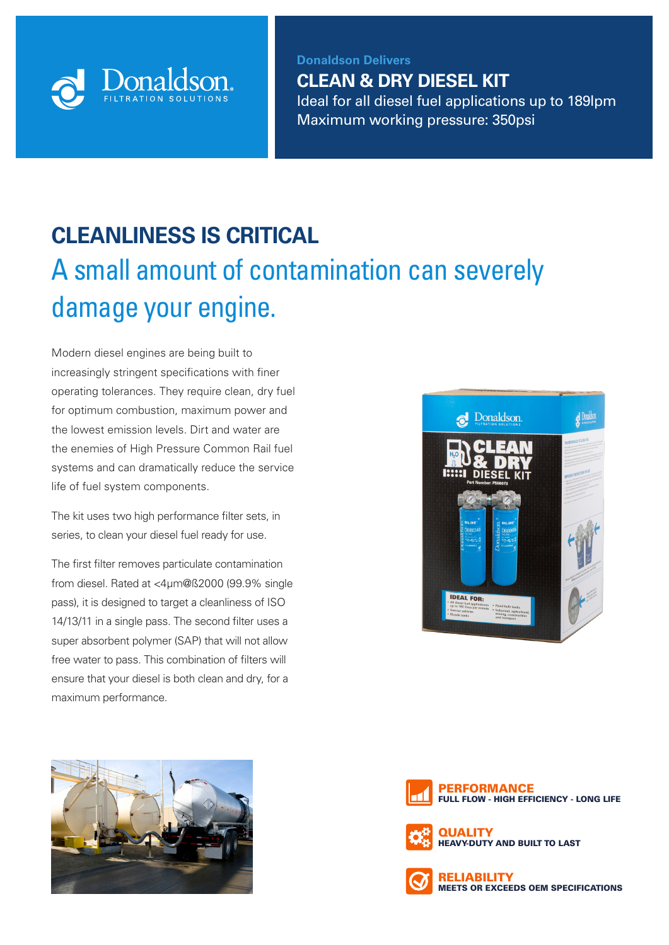

**Donaldson Delivers**

### **CLEAN & DRY DIESEL KIT** Ideal for all diesel fuel applications up to 189lpm

Maximum working pressure: 350psi

**CLEANLINESS IS CRITICAL** A small amount of contamination can severely damage your engine.

Modern diesel engines are being built to increasingly stringent specifications with finer operating tolerances. They require clean, dry fuel for optimum combustion, maximum power and the lowest emission levels. Dirt and water are the enemies of High Pressure Common Rail fuel systems and can dramatically reduce the service life of fuel system components.

The kit uses two high performance filter sets, in series, to clean your diesel fuel ready for use.

The first filter removes particulate contamination from diesel. Rated at <4µm@ß2000 (99.9% single pass), it is designed to target a cleanliness of ISO 14/13/11 in a single pass. The second filter uses a super absorbent polymer (SAP) that will not allow free water to pass. This combination of filters will ensure that your diesel is both clean and dry, for a maximum performance.







PERFORMANCE FULL FLOW - HIGH EFFICIENCY - LONG LIFE



**QUALITY**<br>HEAVY-DUTY AND BUILT TO LAST



RELIABILITY MEETS OR EXCEEDS OEM SPECIFICATIONS